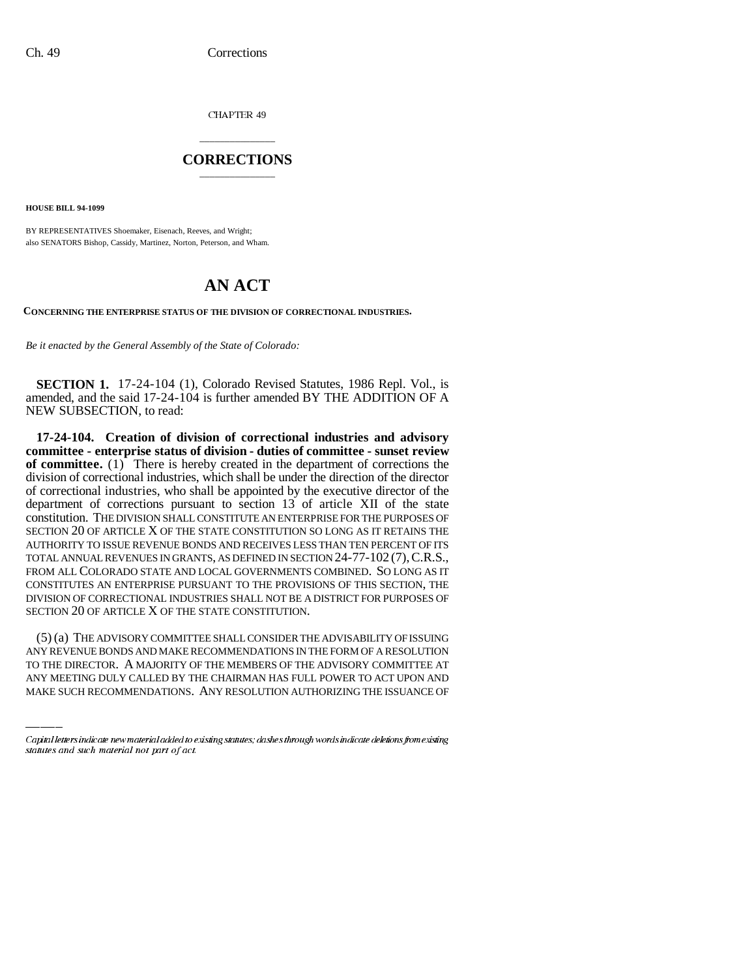CHAPTER 49

## \_\_\_\_\_\_\_\_\_\_\_\_\_\_\_ **CORRECTIONS** \_\_\_\_\_\_\_\_\_\_\_\_\_\_\_

**HOUSE BILL 94-1099**

BY REPRESENTATIVES Shoemaker, Eisenach, Reeves, and Wright; also SENATORS Bishop, Cassidy, Martinez, Norton, Peterson, and Wham.

## **AN ACT**

**CONCERNING THE ENTERPRISE STATUS OF THE DIVISION OF CORRECTIONAL INDUSTRIES.**

*Be it enacted by the General Assembly of the State of Colorado:*

**SECTION 1.** 17-24-104 (1), Colorado Revised Statutes, 1986 Repl. Vol., is amended, and the said 17-24-104 is further amended BY THE ADDITION OF A NEW SUBSECTION, to read:

**17-24-104. Creation of division of correctional industries and advisory committee - enterprise status of division - duties of committee - sunset review of committee.** (1) There is hereby created in the department of corrections the division of correctional industries, which shall be under the direction of the director of correctional industries, who shall be appointed by the executive director of the department of corrections pursuant to section 13 of article XII of the state constitution. THE DIVISION SHALL CONSTITUTE AN ENTERPRISE FOR THE PURPOSES OF SECTION 20 OF ARTICLE X OF THE STATE CONSTITUTION SO LONG AS IT RETAINS THE AUTHORITY TO ISSUE REVENUE BONDS AND RECEIVES LESS THAN TEN PERCENT OF ITS TOTAL ANNUAL REVENUES IN GRANTS, AS DEFINED IN SECTION 24-77-102 (7),C.R.S., FROM ALL COLORADO STATE AND LOCAL GOVERNMENTS COMBINED. SO LONG AS IT CONSTITUTES AN ENTERPRISE PURSUANT TO THE PROVISIONS OF THIS SECTION, THE DIVISION OF CORRECTIONAL INDUSTRIES SHALL NOT BE A DISTRICT FOR PURPOSES OF SECTION 20 OF ARTICLE X OF THE STATE CONSTITUTION.

(5) (a) THE ADVISORY COMMITTEE SHALL CONSIDER THE ADVISABILITY OF ISSUING ANY REVENUE BONDS AND MAKE RECOMMENDATIONS IN THE FORM OF A RESOLUTION TO THE DIRECTOR. A MAJORITY OF THE MEMBERS OF THE ADVISORY COMMITTEE AT ANY MEETING DULY CALLED BY THE CHAIRMAN HAS FULL POWER TO ACT UPON AND MAKE SUCH RECOMMENDATIONS. ANY RESOLUTION AUTHORIZING THE ISSUANCE OF

Capital letters indicate new material added to existing statutes; dashes through words indicate deletions from existing statutes and such material not part of act.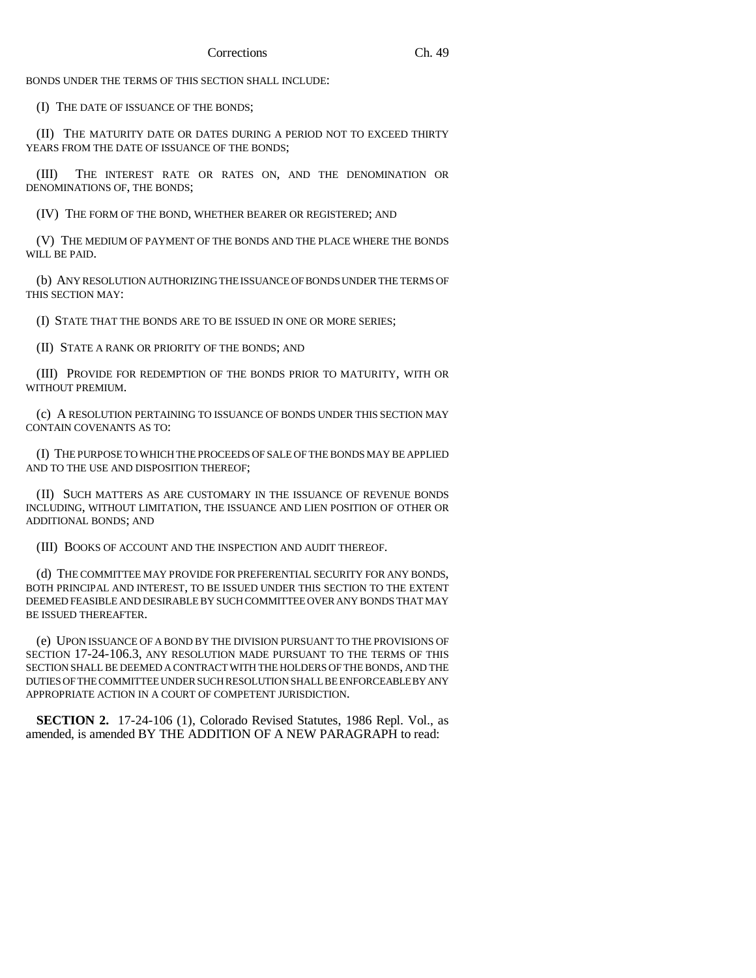BONDS UNDER THE TERMS OF THIS SECTION SHALL INCLUDE:

(I) THE DATE OF ISSUANCE OF THE BONDS;

(II) THE MATURITY DATE OR DATES DURING A PERIOD NOT TO EXCEED THIRTY YEARS FROM THE DATE OF ISSUANCE OF THE BONDS;

(III) THE INTEREST RATE OR RATES ON, AND THE DENOMINATION OR DENOMINATIONS OF, THE BONDS;

(IV) THE FORM OF THE BOND, WHETHER BEARER OR REGISTERED; AND

(V) THE MEDIUM OF PAYMENT OF THE BONDS AND THE PLACE WHERE THE BONDS WILL BE PAID.

(b) ANY RESOLUTION AUTHORIZING THE ISSUANCE OF BONDS UNDER THE TERMS OF THIS SECTION MAY:

(I) STATE THAT THE BONDS ARE TO BE ISSUED IN ONE OR MORE SERIES;

(II) STATE A RANK OR PRIORITY OF THE BONDS; AND

(III) PROVIDE FOR REDEMPTION OF THE BONDS PRIOR TO MATURITY, WITH OR WITHOUT PREMIUM.

(c) A RESOLUTION PERTAINING TO ISSUANCE OF BONDS UNDER THIS SECTION MAY CONTAIN COVENANTS AS TO:

(I) THE PURPOSE TO WHICH THE PROCEEDS OF SALE OF THE BONDS MAY BE APPLIED AND TO THE USE AND DISPOSITION THEREOF;

(II) SUCH MATTERS AS ARE CUSTOMARY IN THE ISSUANCE OF REVENUE BONDS INCLUDING, WITHOUT LIMITATION, THE ISSUANCE AND LIEN POSITION OF OTHER OR ADDITIONAL BONDS; AND

(III) BOOKS OF ACCOUNT AND THE INSPECTION AND AUDIT THEREOF.

(d) THE COMMITTEE MAY PROVIDE FOR PREFERENTIAL SECURITY FOR ANY BONDS, BOTH PRINCIPAL AND INTEREST, TO BE ISSUED UNDER THIS SECTION TO THE EXTENT DEEMED FEASIBLE AND DESIRABLE BY SUCH COMMITTEE OVER ANY BONDS THAT MAY BE ISSUED THEREAFTER.

(e) UPON ISSUANCE OF A BOND BY THE DIVISION PURSUANT TO THE PROVISIONS OF SECTION 17-24-106.3, ANY RESOLUTION MADE PURSUANT TO THE TERMS OF THIS SECTION SHALL BE DEEMED A CONTRACT WITH THE HOLDERS OF THE BONDS, AND THE DUTIES OF THE COMMITTEE UNDER SUCH RESOLUTION SHALL BE ENFORCEABLE BY ANY APPROPRIATE ACTION IN A COURT OF COMPETENT JURISDICTION.

**SECTION 2.** 17-24-106 (1), Colorado Revised Statutes, 1986 Repl. Vol., as amended, is amended BY THE ADDITION OF A NEW PARAGRAPH to read: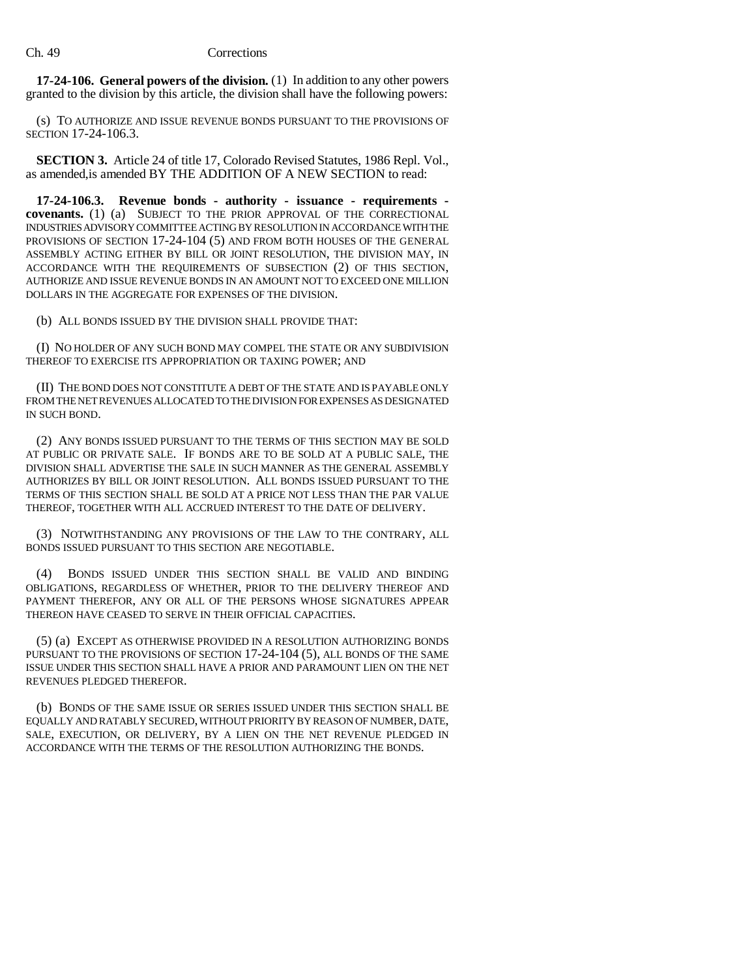**17-24-106. General powers of the division.** (1) In addition to any other powers granted to the division by this article, the division shall have the following powers:

(s) TO AUTHORIZE AND ISSUE REVENUE BONDS PURSUANT TO THE PROVISIONS OF SECTION 17-24-106.3.

**SECTION 3.** Article 24 of title 17, Colorado Revised Statutes, 1986 Repl. Vol., as amended,is amended BY THE ADDITION OF A NEW SECTION to read:

**17-24-106.3. Revenue bonds - authority - issuance - requirements covenants.** (1) (a) SUBJECT TO THE PRIOR APPROVAL OF THE CORRECTIONAL INDUSTRIES ADVISORY COMMITTEE ACTING BY RESOLUTION IN ACCORDANCE WITH THE PROVISIONS OF SECTION 17-24-104 (5) AND FROM BOTH HOUSES OF THE GENERAL ASSEMBLY ACTING EITHER BY BILL OR JOINT RESOLUTION, THE DIVISION MAY, IN ACCORDANCE WITH THE REQUIREMENTS OF SUBSECTION (2) OF THIS SECTION, AUTHORIZE AND ISSUE REVENUE BONDS IN AN AMOUNT NOT TO EXCEED ONE MILLION DOLLARS IN THE AGGREGATE FOR EXPENSES OF THE DIVISION.

(b) ALL BONDS ISSUED BY THE DIVISION SHALL PROVIDE THAT:

(I) NO HOLDER OF ANY SUCH BOND MAY COMPEL THE STATE OR ANY SUBDIVISION THEREOF TO EXERCISE ITS APPROPRIATION OR TAXING POWER; AND

(II) THE BOND DOES NOT CONSTITUTE A DEBT OF THE STATE AND IS PAYABLE ONLY FROM THE NET REVENUES ALLOCATED TO THE DIVISION FOR EXPENSES AS DESIGNATED IN SUCH BOND.

(2) ANY BONDS ISSUED PURSUANT TO THE TERMS OF THIS SECTION MAY BE SOLD AT PUBLIC OR PRIVATE SALE. IF BONDS ARE TO BE SOLD AT A PUBLIC SALE, THE DIVISION SHALL ADVERTISE THE SALE IN SUCH MANNER AS THE GENERAL ASSEMBLY AUTHORIZES BY BILL OR JOINT RESOLUTION. ALL BONDS ISSUED PURSUANT TO THE TERMS OF THIS SECTION SHALL BE SOLD AT A PRICE NOT LESS THAN THE PAR VALUE THEREOF, TOGETHER WITH ALL ACCRUED INTEREST TO THE DATE OF DELIVERY.

(3) NOTWITHSTANDING ANY PROVISIONS OF THE LAW TO THE CONTRARY, ALL BONDS ISSUED PURSUANT TO THIS SECTION ARE NEGOTIABLE.

(4) BONDS ISSUED UNDER THIS SECTION SHALL BE VALID AND BINDING OBLIGATIONS, REGARDLESS OF WHETHER, PRIOR TO THE DELIVERY THEREOF AND PAYMENT THEREFOR, ANY OR ALL OF THE PERSONS WHOSE SIGNATURES APPEAR THEREON HAVE CEASED TO SERVE IN THEIR OFFICIAL CAPACITIES.

(5) (a) EXCEPT AS OTHERWISE PROVIDED IN A RESOLUTION AUTHORIZING BONDS PURSUANT TO THE PROVISIONS OF SECTION 17-24-104 (5), ALL BONDS OF THE SAME ISSUE UNDER THIS SECTION SHALL HAVE A PRIOR AND PARAMOUNT LIEN ON THE NET REVENUES PLEDGED THEREFOR.

(b) BONDS OF THE SAME ISSUE OR SERIES ISSUED UNDER THIS SECTION SHALL BE EQUALLY AND RATABLY SECURED, WITHOUT PRIORITY BY REASON OF NUMBER, DATE, SALE, EXECUTION, OR DELIVERY, BY A LIEN ON THE NET REVENUE PLEDGED IN ACCORDANCE WITH THE TERMS OF THE RESOLUTION AUTHORIZING THE BONDS.